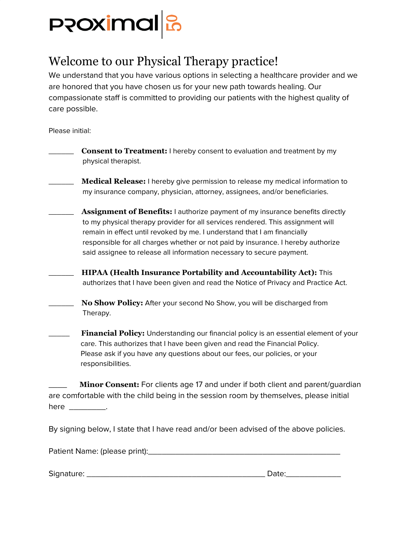

## Welcome to our Physical Therapy practice!

We understand that you have various options in selecting a healthcare provider and we are honored that you have chosen us for your new path towards healing. Our compassionate staff is committed to providing our patients with the highest quality of care possible.

Please initial:

| <b>Consent to Treatment:</b> I hereby consent to evaluation and treatment by my<br>physical therapist.                                                                                                                                                                                                                                                                                                    |
|-----------------------------------------------------------------------------------------------------------------------------------------------------------------------------------------------------------------------------------------------------------------------------------------------------------------------------------------------------------------------------------------------------------|
| <b>Medical Release:</b> I hereby give permission to release my medical information to<br>my insurance company, physician, attorney, assignees, and/or beneficiaries.                                                                                                                                                                                                                                      |
| Assignment of Benefits: I authorize payment of my insurance benefits directly<br>to my physical therapy provider for all services rendered. This assignment will<br>remain in effect until revoked by me. I understand that I am financially<br>responsible for all charges whether or not paid by insurance. I hereby authorize<br>said assignee to release all information necessary to secure payment. |
| <b>HIPAA (Health Insurance Portability and Accountability Act):</b> This<br>authorizes that I have been given and read the Notice of Privacy and Practice Act.                                                                                                                                                                                                                                            |
| No Show Policy: After your second No Show, you will be discharged from<br>Therapy.                                                                                                                                                                                                                                                                                                                        |
| <b>Financial Policy:</b> Understanding our financial policy is an essential element of your                                                                                                                                                                                                                                                                                                               |

care. This authorizes that I have been given and read the Financial Policy. Please ask if you have any questions about our fees, our policies, or your responsibilities.

Minor Consent: For clients age 17 and under if both client and parent/guardian are comfortable with the child being in the session room by themselves, please initial here \_\_\_\_\_\_\_\_\_\_\_.

By signing below, I state that I have read and/or been advised of the above policies.

Patient Name: (please print):\_\_\_\_\_\_\_\_\_\_\_\_\_\_\_\_\_\_\_\_\_\_\_\_\_\_\_\_\_\_\_\_\_\_\_\_\_\_\_\_\_\_